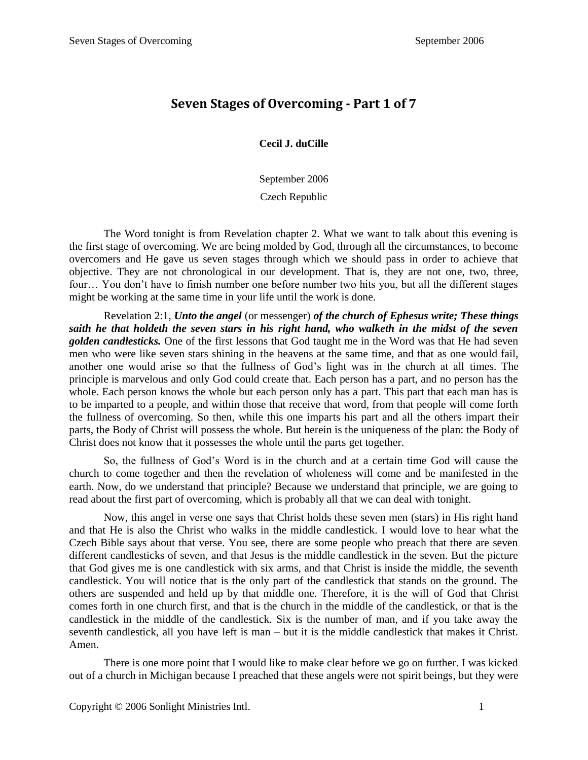## **Seven Stages of Overcoming - Part 1 of 7**

**Cecil J. duCille**

September 2006

Czech Republic

The Word tonight is from Revelation chapter 2. What we want to talk about this evening is the first stage of overcoming. We are being molded by God, through all the circumstances, to become overcomers and He gave us seven stages through which we should pass in order to achieve that objective. They are not chronological in our development. That is, they are not one, two, three, four… You don't have to finish number one before number two hits you, but all the different stages might be working at the same time in your life until the work is done.

Revelation 2:1, *Unto the angel* (or messenger) *of the church of Ephesus write; These things saith he that holdeth the seven stars in his right hand, who walketh in the midst of the seven golden candlesticks.* One of the first lessons that God taught me in the Word was that He had seven men who were like seven stars shining in the heavens at the same time, and that as one would fail, another one would arise so that the fullness of God's light was in the church at all times. The principle is marvelous and only God could create that. Each person has a part, and no person has the whole. Each person knows the whole but each person only has a part. This part that each man has is to be imparted to a people, and within those that receive that word, from that people will come forth the fullness of overcoming. So then, while this one imparts his part and all the others impart their parts, the Body of Christ will possess the whole. But herein is the uniqueness of the plan: the Body of Christ does not know that it possesses the whole until the parts get together.

So, the fullness of God's Word is in the church and at a certain time God will cause the church to come together and then the revelation of wholeness will come and be manifested in the earth. Now, do we understand that principle? Because we understand that principle, we are going to read about the first part of overcoming, which is probably all that we can deal with tonight.

Now, this angel in verse one says that Christ holds these seven men (stars) in His right hand and that He is also the Christ who walks in the middle candlestick. I would love to hear what the Czech Bible says about that verse. You see, there are some people who preach that there are seven different candlesticks of seven, and that Jesus is the middle candlestick in the seven. But the picture that God gives me is one candlestick with six arms, and that Christ is inside the middle, the seventh candlestick. You will notice that is the only part of the candlestick that stands on the ground. The others are suspended and held up by that middle one. Therefore, it is the will of God that Christ comes forth in one church first, and that is the church in the middle of the candlestick, or that is the candlestick in the middle of the candlestick. Six is the number of man, and if you take away the seventh candlestick, all you have left is man – but it is the middle candlestick that makes it Christ. Amen.

There is one more point that I would like to make clear before we go on further. I was kicked out of a church in Michigan because I preached that these angels were not spirit beings, but they were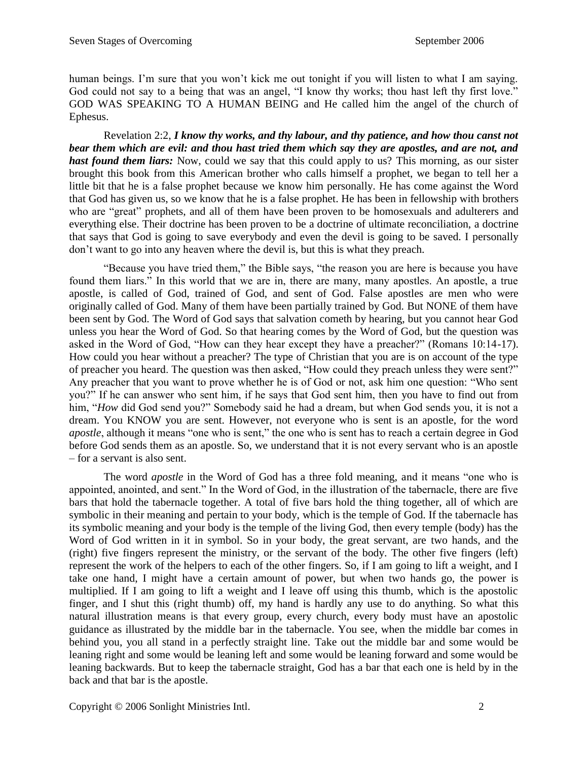human beings. I'm sure that you won't kick me out tonight if you will listen to what I am saying. God could not say to a being that was an angel, "I know thy works; thou hast left thy first love." GOD WAS SPEAKING TO A HUMAN BEING and He called him the angel of the church of Ephesus.

Revelation 2:2, *I know thy works, and thy labour, and thy patience, and how thou canst not bear them which are evil: and thou hast tried them which say they are apostles, and are not, and hast found them liars:* Now, could we say that this could apply to us? This morning, as our sister brought this book from this American brother who calls himself a prophet, we began to tell her a little bit that he is a false prophet because we know him personally. He has come against the Word that God has given us, so we know that he is a false prophet. He has been in fellowship with brothers who are "great" prophets, and all of them have been proven to be homosexuals and adulterers and everything else. Their doctrine has been proven to be a doctrine of ultimate reconciliation, a doctrine that says that God is going to save everybody and even the devil is going to be saved. I personally don't want to go into any heaven where the devil is, but this is what they preach.

"Because you have tried them," the Bible says, "the reason you are here is because you have found them liars." In this world that we are in, there are many, many apostles. An apostle, a true apostle, is called of God, trained of God, and sent of God. False apostles are men who were originally called of God. Many of them have been partially trained by God. But NONE of them have been sent by God. The Word of God says that salvation cometh by hearing, but you cannot hear God unless you hear the Word of God. So that hearing comes by the Word of God, but the question was asked in the Word of God, "How can they hear except they have a preacher?" (Romans 10:14-17). How could you hear without a preacher? The type of Christian that you are is on account of the type of preacher you heard. The question was then asked, "How could they preach unless they were sent?" Any preacher that you want to prove whether he is of God or not, ask him one question: "Who sent you?" If he can answer who sent him, if he says that God sent him, then you have to find out from him, "*How* did God send you?" Somebody said he had a dream, but when God sends you, it is not a dream. You KNOW you are sent. However, not everyone who is sent is an apostle, for the word *apostle*, although it means "one who is sent," the one who is sent has to reach a certain degree in God before God sends them as an apostle. So, we understand that it is not every servant who is an apostle – for a servant is also sent.

The word *apostle* in the Word of God has a three fold meaning, and it means "one who is appointed, anointed, and sent." In the Word of God, in the illustration of the tabernacle, there are five bars that hold the tabernacle together. A total of five bars hold the thing together, all of which are symbolic in their meaning and pertain to your body, which is the temple of God. If the tabernacle has its symbolic meaning and your body is the temple of the living God, then every temple (body) has the Word of God written in it in symbol. So in your body, the great servant, are two hands, and the (right) five fingers represent the ministry, or the servant of the body. The other five fingers (left) represent the work of the helpers to each of the other fingers. So, if I am going to lift a weight, and I take one hand, I might have a certain amount of power, but when two hands go, the power is multiplied. If I am going to lift a weight and I leave off using this thumb, which is the apostolic finger, and I shut this (right thumb) off, my hand is hardly any use to do anything. So what this natural illustration means is that every group, every church, every body must have an apostolic guidance as illustrated by the middle bar in the tabernacle. You see, when the middle bar comes in behind you, you all stand in a perfectly straight line. Take out the middle bar and some would be leaning right and some would be leaning left and some would be leaning forward and some would be leaning backwards. But to keep the tabernacle straight, God has a bar that each one is held by in the back and that bar is the apostle.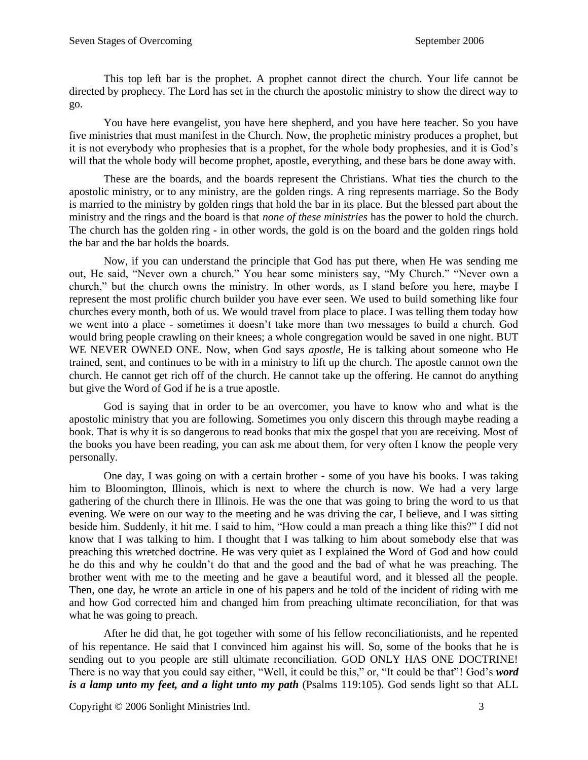This top left bar is the prophet. A prophet cannot direct the church. Your life cannot be directed by prophecy. The Lord has set in the church the apostolic ministry to show the direct way to go.

You have here evangelist, you have here shepherd, and you have here teacher. So you have five ministries that must manifest in the Church. Now, the prophetic ministry produces a prophet, but it is not everybody who prophesies that is a prophet, for the whole body prophesies, and it is God's will that the whole body will become prophet, apostle, everything, and these bars be done away with.

These are the boards, and the boards represent the Christians. What ties the church to the apostolic ministry, or to any ministry, are the golden rings. A ring represents marriage. So the Body is married to the ministry by golden rings that hold the bar in its place. But the blessed part about the ministry and the rings and the board is that *none of these ministries* has the power to hold the church. The church has the golden ring - in other words, the gold is on the board and the golden rings hold the bar and the bar holds the boards.

Now, if you can understand the principle that God has put there, when He was sending me out, He said, "Never own a church." You hear some ministers say, "My Church." "Never own a church," but the church owns the ministry. In other words, as I stand before you here, maybe I represent the most prolific church builder you have ever seen. We used to build something like four churches every month, both of us. We would travel from place to place. I was telling them today how we went into a place - sometimes it doesn't take more than two messages to build a church. God would bring people crawling on their knees; a whole congregation would be saved in one night. BUT WE NEVER OWNED ONE. Now, when God says *apostle*, He is talking about someone who He trained, sent, and continues to be with in a ministry to lift up the church. The apostle cannot own the church. He cannot get rich off of the church. He cannot take up the offering. He cannot do anything but give the Word of God if he is a true apostle.

God is saying that in order to be an overcomer, you have to know who and what is the apostolic ministry that you are following. Sometimes you only discern this through maybe reading a book. That is why it is so dangerous to read books that mix the gospel that you are receiving. Most of the books you have been reading, you can ask me about them, for very often I know the people very personally.

One day, I was going on with a certain brother - some of you have his books. I was taking him to Bloomington, Illinois, which is next to where the church is now. We had a very large gathering of the church there in Illinois. He was the one that was going to bring the word to us that evening. We were on our way to the meeting and he was driving the car, I believe, and I was sitting beside him. Suddenly, it hit me. I said to him, "How could a man preach a thing like this?" I did not know that I was talking to him. I thought that I was talking to him about somebody else that was preaching this wretched doctrine. He was very quiet as I explained the Word of God and how could he do this and why he couldn't do that and the good and the bad of what he was preaching. The brother went with me to the meeting and he gave a beautiful word, and it blessed all the people. Then, one day, he wrote an article in one of his papers and he told of the incident of riding with me and how God corrected him and changed him from preaching ultimate reconciliation, for that was what he was going to preach.

After he did that, he got together with some of his fellow reconciliationists, and he repented of his repentance. He said that I convinced him against his will. So, some of the books that he is sending out to you people are still ultimate reconciliation. GOD ONLY HAS ONE DOCTRINE! There is no way that you could say either, "Well, it could be this," or, "It could be that"! God's *word is a lamp unto my feet, and a light unto my path* (Psalms 119:105). God sends light so that ALL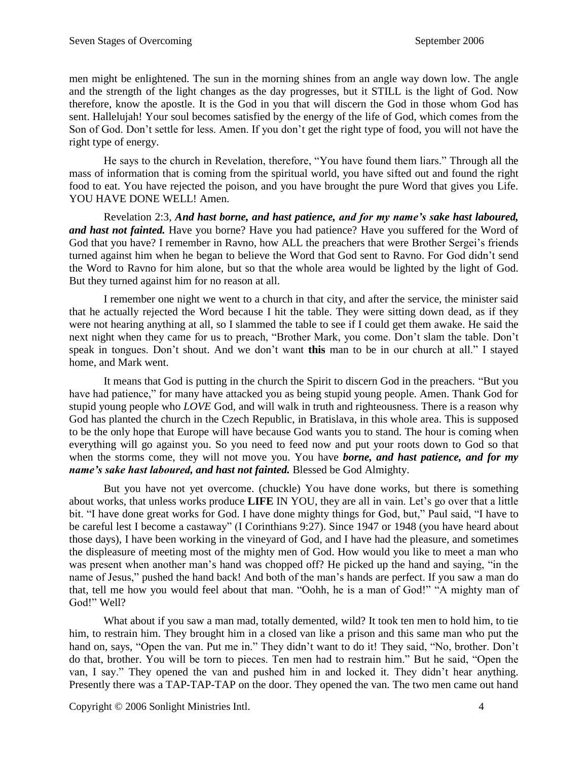men might be enlightened. The sun in the morning shines from an angle way down low. The angle and the strength of the light changes as the day progresses, but it STILL is the light of God. Now therefore, know the apostle. It is the God in you that will discern the God in those whom God has sent. Hallelujah! Your soul becomes satisfied by the energy of the life of God, which comes from the Son of God. Don't settle for less. Amen. If you don't get the right type of food, you will not have the right type of energy.

He says to the church in Revelation, therefore, "You have found them liars." Through all the mass of information that is coming from the spiritual world, you have sifted out and found the right food to eat. You have rejected the poison, and you have brought the pure Word that gives you Life. YOU HAVE DONE WELL! Amen.

Revelation 2:3, *And hast borne, and hast patience, and for my name's sake hast laboured, and hast not fainted.* Have you borne? Have you had patience? Have you suffered for the Word of God that you have? I remember in Ravno, how ALL the preachers that were Brother Sergei's friends turned against him when he began to believe the Word that God sent to Ravno. For God didn't send the Word to Ravno for him alone, but so that the whole area would be lighted by the light of God. But they turned against him for no reason at all.

I remember one night we went to a church in that city, and after the service, the minister said that he actually rejected the Word because I hit the table. They were sitting down dead, as if they were not hearing anything at all, so I slammed the table to see if I could get them awake. He said the next night when they came for us to preach, "Brother Mark, you come. Don't slam the table. Don't speak in tongues. Don't shout. And we don't want **this** man to be in our church at all." I stayed home, and Mark went.

It means that God is putting in the church the Spirit to discern God in the preachers. "But you have had patience," for many have attacked you as being stupid young people. Amen. Thank God for stupid young people who *LOVE* God, and will walk in truth and righteousness. There is a reason why God has planted the church in the Czech Republic, in Bratislava, in this whole area. This is supposed to be the only hope that Europe will have because God wants you to stand. The hour is coming when everything will go against you. So you need to feed now and put your roots down to God so that when the storms come, they will not move you. You have *borne, and hast patience, and for my name's sake hast laboured, and hast not fainted.* Blessed be God Almighty.

But you have not yet overcome. (chuckle) You have done works, but there is something about works, that unless works produce **LIFE** IN YOU, they are all in vain. Let's go over that a little bit. "I have done great works for God. I have done mighty things for God, but," Paul said, "I have to be careful lest I become a castaway" (I Corinthians 9:27). Since 1947 or 1948 (you have heard about those days), I have been working in the vineyard of God, and I have had the pleasure, and sometimes the displeasure of meeting most of the mighty men of God. How would you like to meet a man who was present when another man's hand was chopped off? He picked up the hand and saying, "in the name of Jesus," pushed the hand back! And both of the man's hands are perfect. If you saw a man do that, tell me how you would feel about that man. "Oohh, he is a man of God!" "A mighty man of God!" Well?

What about if you saw a man mad, totally demented, wild? It took ten men to hold him, to tie him, to restrain him. They brought him in a closed van like a prison and this same man who put the hand on, says, "Open the van. Put me in." They didn't want to do it! They said, "No, brother. Don't do that, brother. You will be torn to pieces. Ten men had to restrain him." But he said, "Open the van, I say." They opened the van and pushed him in and locked it. They didn't hear anything. Presently there was a TAP-TAP-TAP on the door. They opened the van. The two men came out hand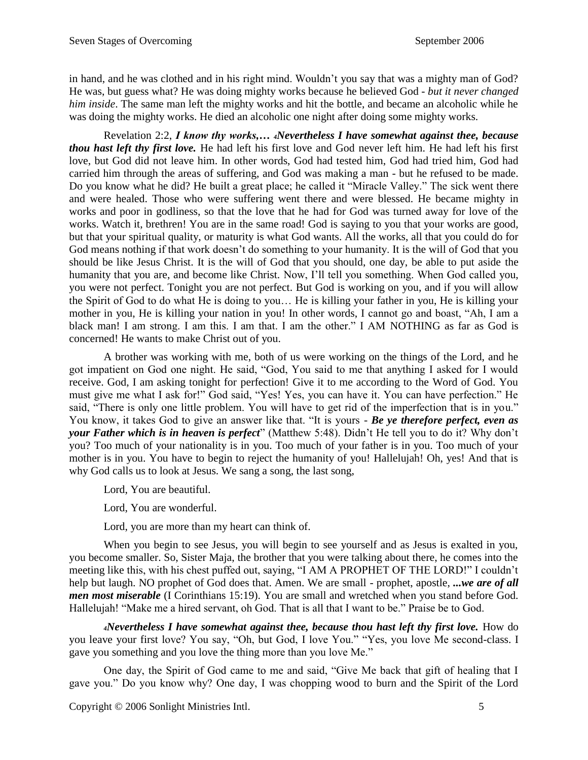in hand, and he was clothed and in his right mind. Wouldn't you say that was a mighty man of God? He was, but guess what? He was doing mighty works because he believed God - *but it never changed him inside*. The same man left the mighty works and hit the bottle, and became an alcoholic while he was doing the mighty works. He died an alcoholic one night after doing some mighty works.

Revelation 2:2, *I know thy works,… 4Nevertheless I have somewhat against thee, because thou hast left thy first love.* He had left his first love and God never left him. He had left his first love, but God did not leave him. In other words, God had tested him, God had tried him, God had carried him through the areas of suffering, and God was making a man - but he refused to be made. Do you know what he did? He built a great place; he called it "Miracle Valley." The sick went there and were healed. Those who were suffering went there and were blessed. He became mighty in works and poor in godliness, so that the love that he had for God was turned away for love of the works. Watch it, brethren! You are in the same road! God is saying to you that your works are good, but that your spiritual quality, or maturity is what God wants. All the works, all that you could do for God means nothing if that work doesn't do something to your humanity. It is the will of God that you should be like Jesus Christ. It is the will of God that you should, one day, be able to put aside the humanity that you are, and become like Christ. Now, I'll tell you something. When God called you, you were not perfect. Tonight you are not perfect. But God is working on you, and if you will allow the Spirit of God to do what He is doing to you… He is killing your father in you, He is killing your mother in you, He is killing your nation in you! In other words, I cannot go and boast, "Ah, I am a black man! I am strong. I am this. I am that. I am the other." I AM NOTHING as far as God is concerned! He wants to make Christ out of you.

A brother was working with me, both of us were working on the things of the Lord, and he got impatient on God one night. He said, "God, You said to me that anything I asked for I would receive. God, I am asking tonight for perfection! Give it to me according to the Word of God. You must give me what I ask for!" God said, "Yes! Yes, you can have it. You can have perfection." He said, "There is only one little problem. You will have to get rid of the imperfection that is in you." You know, it takes God to give an answer like that. "It is yours - *Be ye therefore perfect, even as your Father which is in heaven is perfect*" (Matthew 5:48). Didn't He tell you to do it? Why don't you? Too much of your nationality is in you. Too much of your father is in you. Too much of your mother is in you. You have to begin to reject the humanity of you! Hallelujah! Oh, yes! And that is why God calls us to look at Jesus. We sang a song, the last song,

Lord, You are beautiful.

Lord, You are wonderful.

Lord, you are more than my heart can think of.

When you begin to see Jesus, you will begin to see yourself and as Jesus is exalted in you, you become smaller. So, Sister Maja, the brother that you were talking about there, he comes into the meeting like this, with his chest puffed out, saying, "I AM A PROPHET OF THE LORD!" I couldn't help but laugh. NO prophet of God does that. Amen. We are small - prophet, apostle, *...we are of all men most miserable* (I Corinthians 15:19). You are small and wretched when you stand before God. Hallelujah! "Make me a hired servant, oh God. That is all that I want to be." Praise be to God.

*<sup>4</sup>Nevertheless I have somewhat against thee, because thou hast left thy first love.* How do you leave your first love? You say, "Oh, but God, I love You." "Yes, you love Me second-class. I gave you something and you love the thing more than you love Me."

One day, the Spirit of God came to me and said, "Give Me back that gift of healing that I gave you." Do you know why? One day, I was chopping wood to burn and the Spirit of the Lord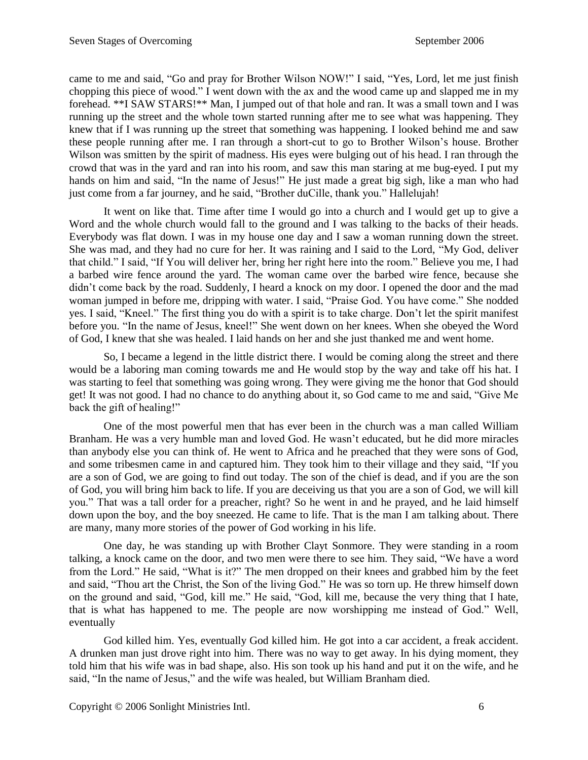came to me and said, "Go and pray for Brother Wilson NOW!" I said, "Yes, Lord, let me just finish chopping this piece of wood." I went down with the ax and the wood came up and slapped me in my forehead. \*\*I SAW STARS!\*\* Man, I jumped out of that hole and ran. It was a small town and I was running up the street and the whole town started running after me to see what was happening. They knew that if I was running up the street that something was happening. I looked behind me and saw these people running after me. I ran through a short-cut to go to Brother Wilson's house. Brother Wilson was smitten by the spirit of madness. His eyes were bulging out of his head. I ran through the crowd that was in the yard and ran into his room, and saw this man staring at me bug-eyed. I put my hands on him and said, "In the name of Jesus!" He just made a great big sigh, like a man who had just come from a far journey, and he said, "Brother duCille, thank you." Hallelujah!

It went on like that. Time after time I would go into a church and I would get up to give a Word and the whole church would fall to the ground and I was talking to the backs of their heads. Everybody was flat down. I was in my house one day and I saw a woman running down the street. She was mad, and they had no cure for her. It was raining and I said to the Lord, "My God, deliver that child." I said, "If You will deliver her, bring her right here into the room." Believe you me, I had a barbed wire fence around the yard. The woman came over the barbed wire fence, because she didn't come back by the road. Suddenly, I heard a knock on my door. I opened the door and the mad woman jumped in before me, dripping with water. I said, "Praise God. You have come." She nodded yes. I said, "Kneel." The first thing you do with a spirit is to take charge. Don't let the spirit manifest before you. "In the name of Jesus, kneel!" She went down on her knees. When she obeyed the Word of God, I knew that she was healed. I laid hands on her and she just thanked me and went home.

So, I became a legend in the little district there. I would be coming along the street and there would be a laboring man coming towards me and He would stop by the way and take off his hat. I was starting to feel that something was going wrong. They were giving me the honor that God should get! It was not good. I had no chance to do anything about it, so God came to me and said, "Give Me back the gift of healing!"

One of the most powerful men that has ever been in the church was a man called William Branham. He was a very humble man and loved God. He wasn't educated, but he did more miracles than anybody else you can think of. He went to Africa and he preached that they were sons of God, and some tribesmen came in and captured him. They took him to their village and they said, "If you are a son of God, we are going to find out today. The son of the chief is dead, and if you are the son of God, you will bring him back to life. If you are deceiving us that you are a son of God, we will kill you." That was a tall order for a preacher, right? So he went in and he prayed, and he laid himself down upon the boy, and the boy sneezed. He came to life. That is the man I am talking about. There are many, many more stories of the power of God working in his life.

One day, he was standing up with Brother Clayt Sonmore. They were standing in a room talking, a knock came on the door, and two men were there to see him. They said, "We have a word from the Lord." He said, "What is it?" The men dropped on their knees and grabbed him by the feet and said, "Thou art the Christ, the Son of the living God." He was so torn up. He threw himself down on the ground and said, "God, kill me." He said, "God, kill me, because the very thing that I hate, that is what has happened to me. The people are now worshipping me instead of God." Well, eventually

God killed him. Yes, eventually God killed him. He got into a car accident, a freak accident. A drunken man just drove right into him. There was no way to get away. In his dying moment, they told him that his wife was in bad shape, also. His son took up his hand and put it on the wife, and he said, "In the name of Jesus," and the wife was healed, but William Branham died.